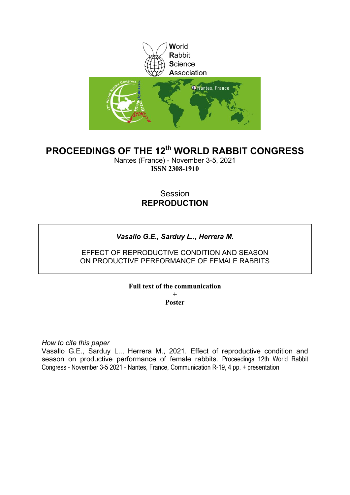

# **PROCEEDINGS OF THE 12th WORLD RABBIT CONGRESS**

Nantes (France) - November 3-5, 2021 **ISSN 2308-1910**

## Session **REPRODUCTION**

### *Vasallo G.E., Sarduy L.., Herrera M.*

### EFFECT OF REPRODUCTIVE CONDITION AND SEASON ON PRODUCTIVE PERFORMANCE OF FEMALE RABBITS

### **Full text of the communication**

**+ Poster**

*How to cite this paper*

Vasallo G.E., Sarduy L.., Herrera M., 2021. Effect of reproductive condition and season on productive performance of female rabbits. Proceedings 12th World Rabbit Congress - November 3-5 2021 - Nantes, France, Communication R-19, 4 pp. + presentation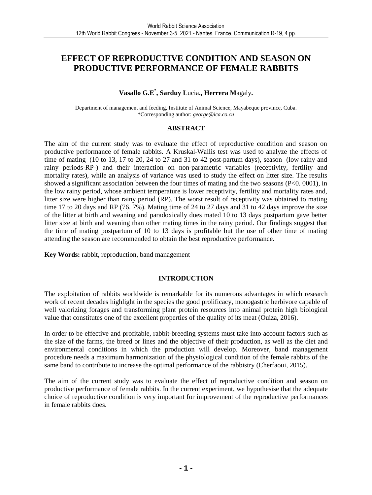## **EFFECT OF REPRODUCTIVE CONDITION AND SEASON ON PRODUCTIVE PERFORMANCE OF FEMALE RABBITS**

### **Vasallo G.E\* , Sarduy L**ucia**., Herrera M**agaly**.**

Department of management and feeding, Institute of Animal Science, Mayabeque province, Cuba. \*Corresponding author: *george@ica.co.cu* 

#### **ABSTRACT**

The aim of the current study was to evaluate the effect of reproductive condition and season on productive performance of female rabbits. A Kruskal-Wallis test was used to analyze the effects of time of mating (10 to 13, 17 to 20, 24 to 27 and 31 to 42 post-partum days), season (low rainy and rainy periods-RP-) and their interaction on non-parametric variables (receptivity, fertility and mortality rates), while an analysis of variance was used to study the effect on litter size. The results showed a significant association between the four times of mating and the two seasons (P<0. 0001), in the low rainy period, whose ambient temperature is lower receptivity, fertility and mortality rates and, litter size were higher than rainy period (RP). The worst result of receptivity was obtained to mating time 17 to 20 days and RP (76. 7%). Mating time of 24 to 27 days and 31 to 42 days improve the size of the litter at birth and weaning and paradoxically does mated 10 to 13 days postpartum gave better litter size at birth and weaning than other mating times in the rainy period. Our findings suggest that the time of mating postpartum of 10 to 13 days is profitable but the use of other time of mating attending the season are recommended to obtain the best reproductive performance.

**Key Words:** rabbit, reproduction, band management

### **INTRODUCTION**

The exploitation of rabbits worldwide is remarkable for its numerous advantages in which research work of recent decades highlight in the species the good prolificacy, monogastric herbivore capable of well valorizing forages and transforming plant protein resources into animal protein high biological value that constitutes one of the excellent properties of the quality of its meat (Ouiza, 2016).

In order to be effective and profitable, rabbit-breeding systems must take into account factors such as the size of the farms, the breed or lines and the objective of their production, as well as the diet and environmental conditions in which the production will develop. Moreover, band management procedure needs a maximum harmonization of the physiological condition of the female rabbits of the same band to contribute to increase the optimal performance of the rabbistry (Cherfaoui, 2015).

The aim of the current study was to evaluate the effect of reproductive condition and season on productive performance of female rabbits. In the current experiment, we hypothesise that the adequate choice of reproductive condition is very important for improvement of the reproductive performances in female rabbits does.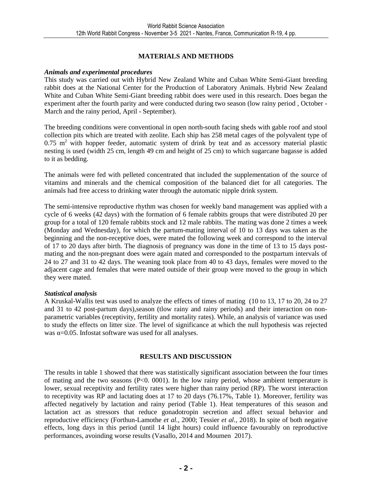#### **MATERIALS AND METHODS**

#### *Animals and experimental procedures*

This study was carried out with Hybrid New Zealand White and Cuban White Semi-Giant breeding rabbit does at the National Center for the Production of Laboratory Animals. Hybrid New Zealand White and Cuban White Semi-Giant breeding rabbit does were used in this research. Does began the experiment after the fourth parity and were conducted during two season (low rainy period , October - March and the rainy period, April - September).

The breeding conditions were conventional in open north-south facing sheds with gable roof and stool collection pits which are treated with zeolite. Each ship has 258 metal cages of the polyvalent type of  $0.75$  m<sup>2</sup> with hopper feeder, automatic system of drink by teat and as accessory material plastic nesting is used (width 25 cm, length 49 cm and height of 25 cm) to which sugarcane bagasse is added to it as bedding.

The animals were fed with pelleted concentrated that included the supplementation of the source of vitamins and minerals and the chemical composition of the balanced diet for all categories. The animals had free access to drinking water through the automatic nipple drink system.

The semi-intensive reproductive rhythm was chosen for weekly band management was applied with a cycle of 6 weeks (42 days) with the formation of 6 female rabbits groups that were distributed 20 per group for a total of 120 female rabbits stock and 12 male rabbits. The mating was done 2 times a week (Monday and Wednesday), for which the partum-mating interval of 10 to 13 days was taken as the beginning and the non-receptive does, were mated the following week and correspond to the interval of 17 to 20 days after birth. The diagnosis of pregnancy was done in the time of 13 to 15 days postmating and the non-pregnant does were again mated and corresponded to the postpartum intervals of 24 to 27 and 31 to 42 days. The weaning took place from 40 to 43 days, females were moved to the adjacent cage and females that were mated outside of their group were moved to the group in which they were mated.

#### *Statistical analysis*

A Kruskal-Wallis test was used to analyze the effects of times of mating (10 to 13, 17 to 20, 24 to 27 and 31 to 42 post-partum days),season (tlow rainy and rainy periods) and their interaction on nonparametric variables (receptivity, fertility and mortality rates). While, an analysis of variance was used to study the effects on litter size. The level of significance at which the null hypothesis was rejected was  $\alpha$ =0.05. Infostat software was used for all analyses.

#### **RESULTS AND DISCUSSION**

The results in table 1 showed that there was statistically significant association between the four times of mating and the two seasons  $(P<0.0001)$ . In the low rainy period, whose ambient temperature is lower, sexual receptivity and fertility rates were higher than rainy period (RP). The worst interaction to receptivity was RP and lactating does at 17 to 20 days (76.17%, Table 1). Moreover, fertility was affected negatively by lactation and rainy period (Table 1). Heat temperatures of this season and lactation act as stressors that reduce gonadotropin secretion and affect sexual behavior and reproductive efficiency (Forthun-Lamothe *et al.,* 2000; Tessier *et al.,* 2018). In spite of both negative effects, long days in this period (until 14 light hours) could influence favourably on reproductive performances, avoinding worse results (Vasallo, 2014 and Moumen 2017).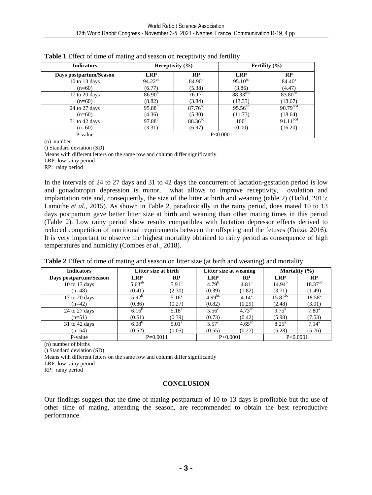| <b>Indicators</b>      | Receptivity $(\% )$ |                    | Fertility $(\% )$    |                        |  |
|------------------------|---------------------|--------------------|----------------------|------------------------|--|
| Days postpartum/Season | <b>LRP</b>          | RP                 | <b>LRP</b>           | RP                     |  |
| $10$ to $13$ days      | $94.22^{cd}$        | 84.90 <sup>b</sup> | $95.10^{bc}$         | $84.40^a$              |  |
| $(n=60)$               | (6.77)              | (5.38)             | (3.86)               | (4.47)                 |  |
| 17 to 20 days          | 86.90 <sup>b</sup>  | 76.17 <sup>a</sup> | 88.33 <sup>abc</sup> | $83.80^{ab}$           |  |
| $(n=60)$               | (8.82)              | (3.84)             | (13.33)              | (18.67)                |  |
| 24 to 27 days          | $95.88^{d}$         | $87.76^{bc}$       | $95.56^{cd}$         | 90.79 <sup>bcd</sup>   |  |
| $(n=60)$               | (4.36)              | (5.30)             | (11.73)              | (18.64)                |  |
| $31$ to 42 days        | $97.88^{d}$         | $88.36^{bc}$       | $100^d$              | $91.11$ <sup>bcd</sup> |  |
| $(n=60)$               | (3.31)              | (6.97)             | (0.00)               | (16.20)                |  |
| P-value                | P < 0.0001          |                    |                      |                        |  |

| Table 1 Effect of time of mating and season on receptivity and fertility |  |  |  |
|--------------------------------------------------------------------------|--|--|--|
|                                                                          |  |  |  |

(n) number

() Standard deviation (SD)

Means with different letters on the same row and column differ significantly LRP: low rainy period

RP: rainy period

In the intervals of 24 to 27 days and 31 to 42 days the concurrent of lactation-gestation period is low and gonadotropin depression is minor, what allows to improve receptivity, ovulation and implantation rate and, consequently, the size of the litter at birth and weaning (table 2) (Hadid, 2015; Lamothe *et al.*, 2015). As shown in Table 2, paradoxically in the rainy period, does mated 10 to 13 days postpartum gave better litter size at birth and weaning than other mating times in this period (Table 2). Low rainy period show results compatibles with lactation depressor effects derived to reduced competition of nutritional requirements between the offspring and the fetuses (Ouiza, 2016). It is very important to observe the highest mortality obtained to rainy period as consequence of high temperatures and humidity (Combes *et al.,* 2018).

| <b>Indicators</b>      | Litter size at birth |                | Litter size at weaning |             | Mortality $(\% )$ |                     |
|------------------------|----------------------|----------------|------------------------|-------------|-------------------|---------------------|
| Days postpartum/Season | <b>LRP</b>           | <b>RP</b>      | LRP                    | <b>RP</b>   | <b>LRP</b>        | RP                  |
| $10$ to $13$ days      | $5.63^{ab}$          | $5.91^{b}$     | $4.79^{b}$             | $4.81^{b}$  | $14.94^{b}$       | 18.37 <sup>cd</sup> |
| $(n=48)$               | (0.41)               | (2.30)         | (0.39)                 | (1.82)      | (3.71)            | (1.49)              |
| 17 to 20 days          | $5.92^{b}$           | $5.16^{\rm a}$ | $4.99^{bc}$            | $4.14^a$    | $15.82^{bc}$      | $18.58^{\rm d}$     |
| $(n=42)$               | (0.86)               | (0.27)         | (0.82)                 | (0.29)      | (2.48)            | (3.01)              |
| 24 to 27 days          | $6.16^{b}$           | $5.18^{a}$     | 5.56 <sup>c</sup>      | $4.73^{ab}$ | $9.75^{\text{a}}$ | $7.80^{\rm a}$      |
| $(n=51)$               | (0.61)               | (0.39)         | (0.73)                 | (0.42)      | (5.98)            | (7.53)              |
| 31 to 42 days          | $6.08^{b}$           | $5.01^{\rm a}$ | $5.57^{\circ}$         | $4.65^{ab}$ | $8.25^{\rm a}$    | $7.14^a$            |
| $(n=54)$               | (0.52)               | (0.05)         | (0.55)                 | (0.27)      | (5.28)            | (5.76)              |
| P-value                | $P=0.0011$           |                | P<0.0001               |             | P<0.0001          |                     |

**Table 2** Effect of time of mating and season on litter size (at birth and weaning) and mortality

(n) number of births

() Standard deviation (SD)

Means with different letters on the same row and column differ significantly

LRP: low rainy period

RP: rainy period

#### **CONCLUSION**

Our findings suggest that the time of mating postpartum of 10 to 13 days is profitable but the use of other time of mating, attending the season, are recommended to obtain the best reproductive performance.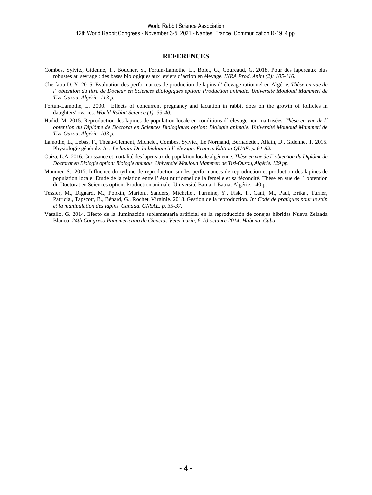#### **REFERENCES**

- Combes, Sylvie., Gidenne, T., Boucher, S., Fortun-Lamothe, L., Bolet, G., Coureaud, G. 2018. Pour des lapereaux plus robustes au sevrage : des bases biologiques aux leviers d'action en élevage. *INRA Prod. Anim (2): 105-116.*
- Cherfaou D. Y. 2015. Evaluation des performances de production de lapins d' élevage rationnel en Algérie. *Thèse en vue de l´ obtention du titre de Docteur en Sciences Biologiques option: Production animale. Université Mouloud Mammeri de Tizi-Ouzou, Algérie. 113 p.*
- Fortun-Lamothe, L. 2000. Effects of concurrent pregnancy and lactation in rabbit does on the growth of follicles in daughters' ovaries. *World Rabbit Science (1): 33-40.*
- Hadid, M. 2015. Reproduction des lapines de population locale en conditions d´ élevage non maitrisées. *Thèse en vue de l´ obtention du Diplôme de Doctorat en Sciences Biologiques option: Biologie animale. Université Mouloud Mammeri de Tizi-Ouzou, Algérie. 103 p.*
- Lamothe, L., Lebas, F., Theau-Clement, Michele., Combes, Sylvie., Le Normand, Bernadette., Allain, D., Gidenne, T. 2015. Physiologie générale. *In : Le lapin. De la biologie à l´ élevage. France. Édition QUAE. p. 61-82.*
- Ouiza, L.A. 2016. Croissance et mortalité des lapereaux de population locale algérienne. *Thèse en vue de l´ obtention du Diplôme de Doctorat en Biologie option: Biologie animale. Université Mouloud Mammeri de Tizi-Ouzou, Algérie. 129 pp.*
- Moumen S.. 2017. Influence du rythme de reproduction sur les performances de reproduction et production des lapines de population locale: Etude de la relation entre l' état nutrionnel de la femelle et sa fécondité. Thèse en vue de l´ obtention du Doctorat en Sciences option: Production animale. Université Batna 1-Batna, Algérie. 140 p.
- Tessier, M., Dignard, M., Popkin, Marion., Sanders, Michelle., Turmine, Y., Fisk, T., Cant, M., Paul, Erika., Turner, Patricia., Tapscott, B., Bénard, G., Rochet, Virginie. 2018. Gestion de la reproduction. *In: Code de pratiques pour le soin et la manipulation des lapins. Canada. CNSAE. p. 35-37.*
- Vasallo, G. 2014. Efecto de la iluminación suplementaria artificial en la reproducción de conejas híbridas Nueva Zelanda Blanco. *24th Congreso Panamericano de Ciencias Veterinaria, 6-10 octubre 2014, Habana, Cuba.*